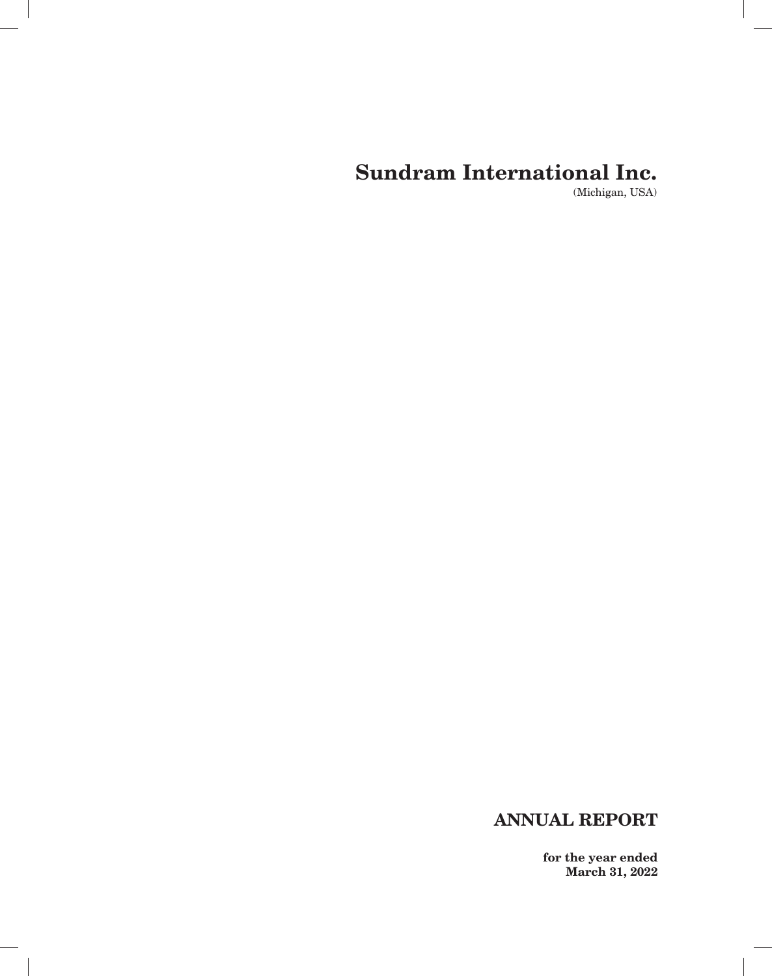(Michigan, USA)

# **ANNUAL REPORT**

 $\overline{\phantom{a}}$ 

**for the year ended March 31, 2022**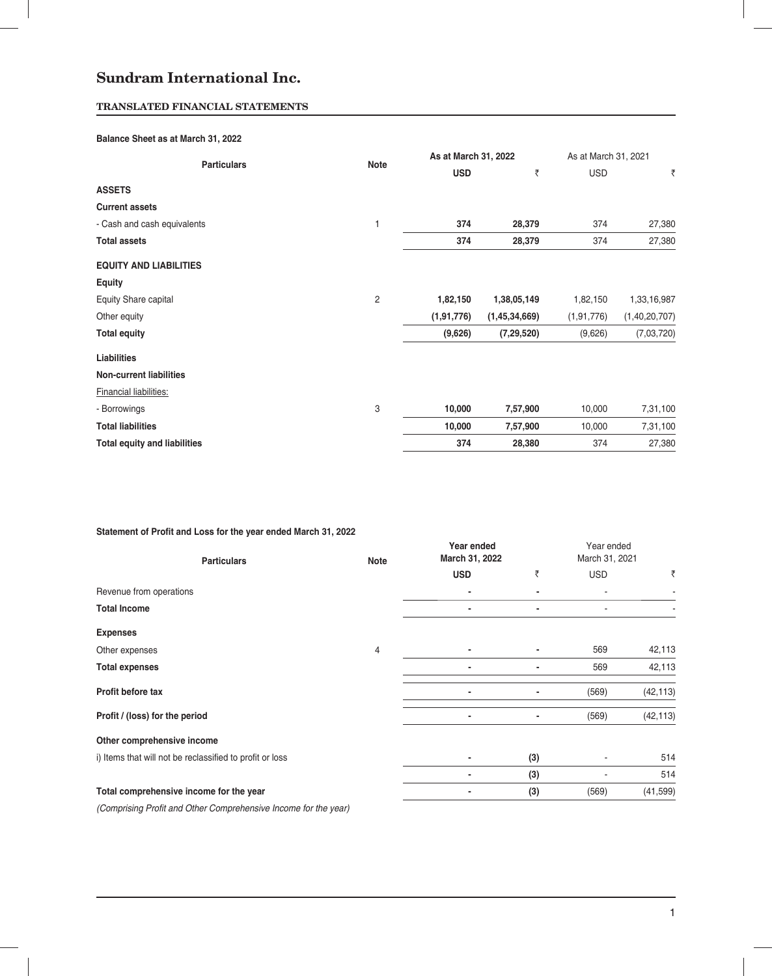# **TRANSLATED FINANCIAL STATEMENTS**

### **Balance Sheet as at March 31, 2022**

|                                     |                | As at March 31, 2022 |               | As at March 31, 2021 |               |  |
|-------------------------------------|----------------|----------------------|---------------|----------------------|---------------|--|
| <b>Particulars</b>                  | <b>Note</b>    | <b>USD</b>           | ₹             | <b>USD</b>           | ₹             |  |
| <b>ASSETS</b>                       |                |                      |               |                      |               |  |
| <b>Current assets</b>               |                |                      |               |                      |               |  |
| - Cash and cash equivalents         | 1              | 374                  | 28,379        | 374                  | 27,380        |  |
| <b>Total assets</b>                 |                | 374                  | 28,379        | 374                  | 27,380        |  |
| <b>EQUITY AND LIABILITIES</b>       |                |                      |               |                      |               |  |
| <b>Equity</b>                       |                |                      |               |                      |               |  |
| Equity Share capital                | $\overline{c}$ | 1,82,150             | 1,38,05,149   | 1,82,150             | 1,33,16,987   |  |
| Other equity                        |                | (1, 91, 776)         | (1,45,34,669) | (1, 91, 776)         | (1,40,20,707) |  |
| <b>Total equity</b>                 |                | (9,626)              | (7, 29, 520)  | (9,626)              | (7,03,720)    |  |
| <b>Liabilities</b>                  |                |                      |               |                      |               |  |
| <b>Non-current liabilities</b>      |                |                      |               |                      |               |  |
| <b>Financial liabilities:</b>       |                |                      |               |                      |               |  |
| - Borrowings                        | 3              | 10,000               | 7,57,900      | 10,000               | 7,31,100      |  |
| <b>Total liabilities</b>            |                | 10,000               | 7,57,900      | 10,000               | 7,31,100      |  |
| <b>Total equity and liabilities</b> |                | 374                  | 28,380        | 374                  | 27,380        |  |

# Statement of Profit and Loss for the year ended March 31, 2022

| <b>Particulars</b>                                       | <b>Note</b> | Year ended<br>March 31, 2022 |     | Year ended<br>March 31, 2021 |           |
|----------------------------------------------------------|-------------|------------------------------|-----|------------------------------|-----------|
|                                                          |             | <b>USD</b>                   | ₹   | <b>USD</b>                   | ₹         |
| Revenue from operations                                  |             |                              |     |                              |           |
| <b>Total Income</b>                                      |             |                              |     |                              |           |
| <b>Expenses</b>                                          |             |                              |     |                              |           |
| Other expenses                                           | 4           |                              |     | 569                          | 42,113    |
| <b>Total expenses</b>                                    |             |                              |     | 569                          | 42,113    |
| Profit before tax                                        |             |                              |     | (569)                        | (42, 113) |
| Profit / (loss) for the period                           |             | $\overline{\phantom{0}}$     |     | (569)                        | (42, 113) |
| Other comprehensive income                               |             |                              |     |                              |           |
| i) Items that will not be reclassified to profit or loss |             |                              | (3) |                              | 514       |
|                                                          |             |                              | (3) |                              | 514       |
| Total comprehensive income for the year                  |             |                              | (3) | (569)                        | (41, 599) |
| المالية المستحدث والمستحدث والمنافس والمستحدث            |             |                              |     |                              |           |

*(Comprising Profi t and Other Comprehensive Income for the year)*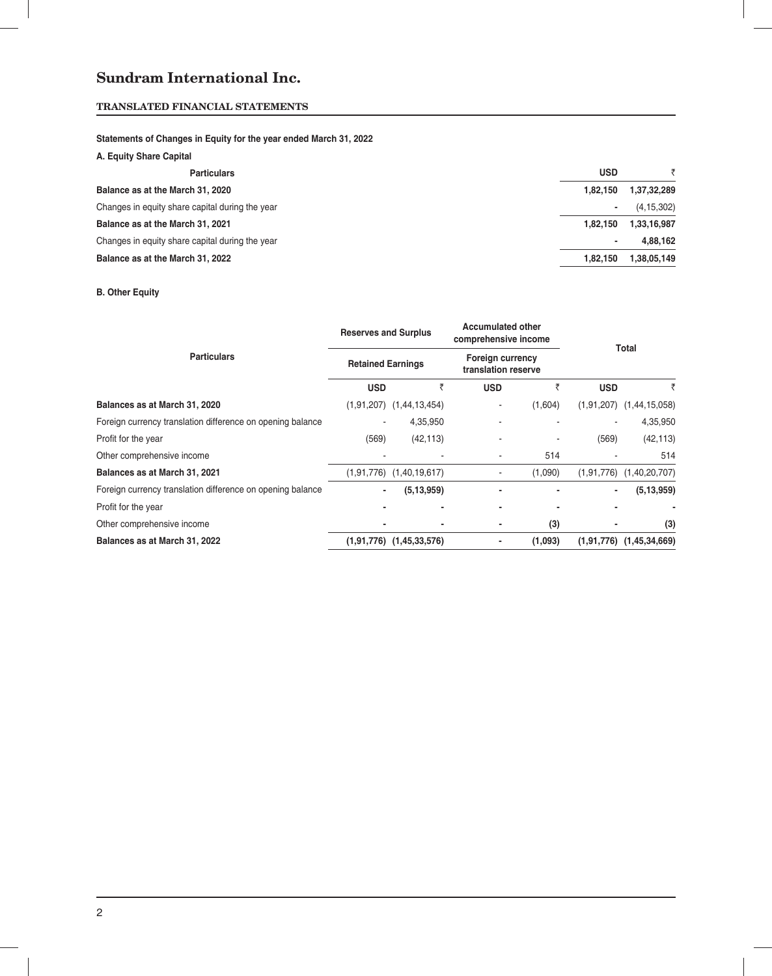# **TRANSLATED FINANCIAL STATEMENTS**

# **Statements of Changes in Equity for the year ended March 31, 2022**

| A. Equity Share Capital                         |            |              |
|-------------------------------------------------|------------|--------------|
| <b>Particulars</b>                              | <b>USD</b> |              |
| Balance as at the March 31, 2020                | 1.82.150   | 1,37,32,289  |
| Changes in equity share capital during the year |            | (4, 15, 302) |
| Balance as at the March 31, 2021                | 1.82.150   | 1,33,16,987  |
| Changes in equity share capital during the year |            | 4.88.162     |
| Balance as at the March 31, 2022                | 1.82.150   | 1,38,05,149  |
|                                                 |            |              |

# **B. Other Equity**

|                                                            | <b>Reserves and Surplus</b> |                              | <b>Accumulated other</b><br>comprehensive income |         |            | Total                        |  |  |
|------------------------------------------------------------|-----------------------------|------------------------------|--------------------------------------------------|---------|------------|------------------------------|--|--|
| <b>Particulars</b>                                         | <b>Retained Earnings</b>    |                              | <b>Foreign currency</b><br>translation reserve   |         |            |                              |  |  |
|                                                            | <b>USD</b>                  | ₹                            | <b>USD</b>                                       | ₹       | <b>USD</b> | ₹                            |  |  |
| Balances as at March 31, 2020                              |                             | $(1,91,207)$ $(1,44,13,454)$ | ۰                                                | (1,604) |            | $(1,91,207)$ $(1,44,15,058)$ |  |  |
| Foreign currency translation difference on opening balance |                             | 4,35,950                     |                                                  |         |            | 4,35,950                     |  |  |
| Profit for the year                                        | (569)                       | (42, 113)                    |                                                  |         | (569)      | (42, 113)                    |  |  |
| Other comprehensive income                                 |                             |                              |                                                  | 514     |            | 514                          |  |  |
| Balances as at March 31, 2021                              |                             | $(1,91,776)$ $(1,40,19,617)$ |                                                  | (1,090) |            | $(1,91,776)$ $(1,40,20,707)$ |  |  |
| Foreign currency translation difference on opening balance |                             | (5, 13, 959)                 |                                                  |         | ۰.         | (5, 13, 959)                 |  |  |
| Profit for the year                                        |                             | $\blacksquare$               |                                                  |         |            |                              |  |  |
| Other comprehensive income                                 |                             | $\blacksquare$               | ٠                                                | (3)     |            | (3)                          |  |  |
| Balances as at March 31, 2022                              |                             | $(1,91,776)$ $(1,45,33,576)$ |                                                  | (1,093) |            | $(1,91,776)$ $(1,45,34,669)$ |  |  |

Ñ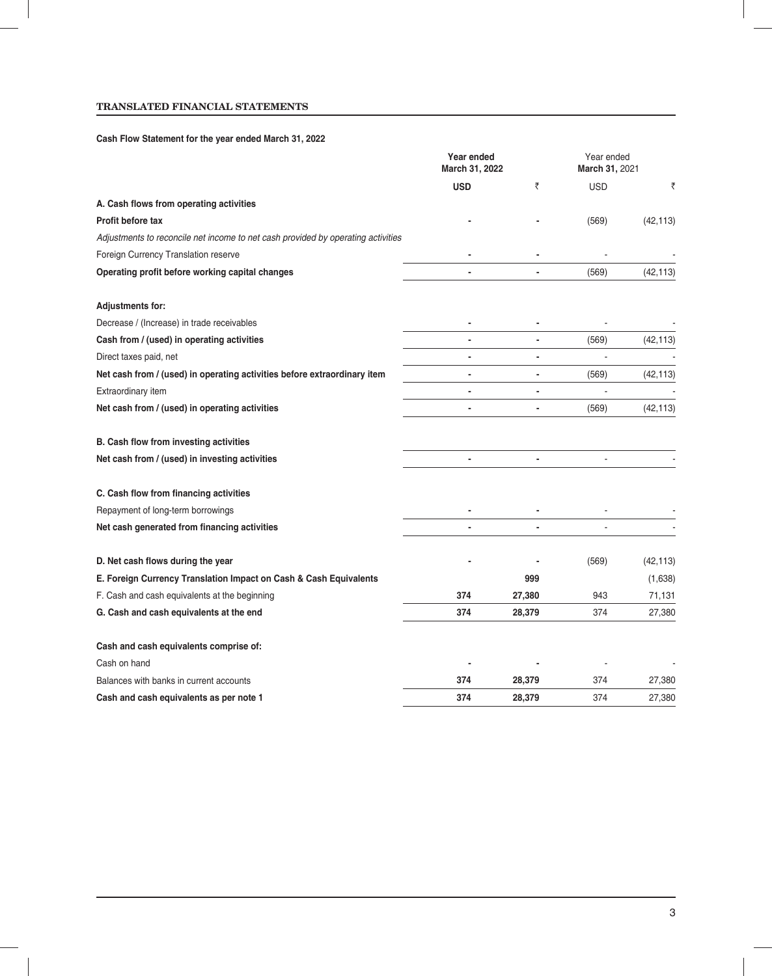# **TRANSLATED FINANCIAL STATEMENTS**

# **Cash Flow Statement for the year ended March 31, 2022**

|                                                                                  | Year ended<br>March 31, 2022 |        | Year ended<br>March 31, 2021 |           |
|----------------------------------------------------------------------------------|------------------------------|--------|------------------------------|-----------|
|                                                                                  | <b>USD</b>                   | ₹      | <b>USD</b>                   | ₹         |
| A. Cash flows from operating activities                                          |                              |        |                              |           |
| Profit before tax                                                                |                              |        | (569)                        | (42, 113) |
| Adjustments to reconcile net income to net cash provided by operating activities |                              |        |                              |           |
| Foreign Currency Translation reserve                                             |                              |        |                              |           |
| Operating profit before working capital changes                                  |                              |        | (569)                        | (42, 113) |
| <b>Adjustments for:</b>                                                          |                              |        |                              |           |
| Decrease / (Increase) in trade receivables                                       |                              |        |                              |           |
| Cash from / (used) in operating activities                                       |                              |        | (569)                        | (42, 113) |
| Direct taxes paid, net                                                           |                              |        |                              |           |
| Net cash from / (used) in operating activities before extraordinary item         | $\overline{\phantom{a}}$     |        | (569)                        | (42, 113) |
| Extraordinary item                                                               | $\overline{\phantom{0}}$     | -      | $\overline{a}$               |           |
| Net cash from / (used) in operating activities                                   |                              |        | (569)                        | (42, 113) |
| B. Cash flow from investing activities                                           |                              |        |                              |           |
| Net cash from / (used) in investing activities                                   |                              | ٠      | ä,                           |           |
| C. Cash flow from financing activities                                           |                              |        |                              |           |
| Repayment of long-term borrowings                                                |                              |        |                              |           |
| Net cash generated from financing activities                                     |                              |        |                              |           |
| D. Net cash flows during the year                                                |                              |        | (569)                        | (42, 113) |
| E. Foreign Currency Translation Impact on Cash & Cash Equivalents                |                              | 999    |                              | (1,638)   |
| F. Cash and cash equivalents at the beginning                                    | 374                          | 27,380 | 943                          | 71,131    |
| G. Cash and cash equivalents at the end                                          | 374                          | 28,379 | 374                          | 27,380    |
| Cash and cash equivalents comprise of:                                           |                              |        |                              |           |
| Cash on hand                                                                     |                              |        |                              |           |
| Balances with banks in current accounts                                          | 374                          | 28,379 | 374                          | 27,380    |
| Cash and cash equivalents as per note 1                                          | 374                          | 28,379 | 374                          | 27,380    |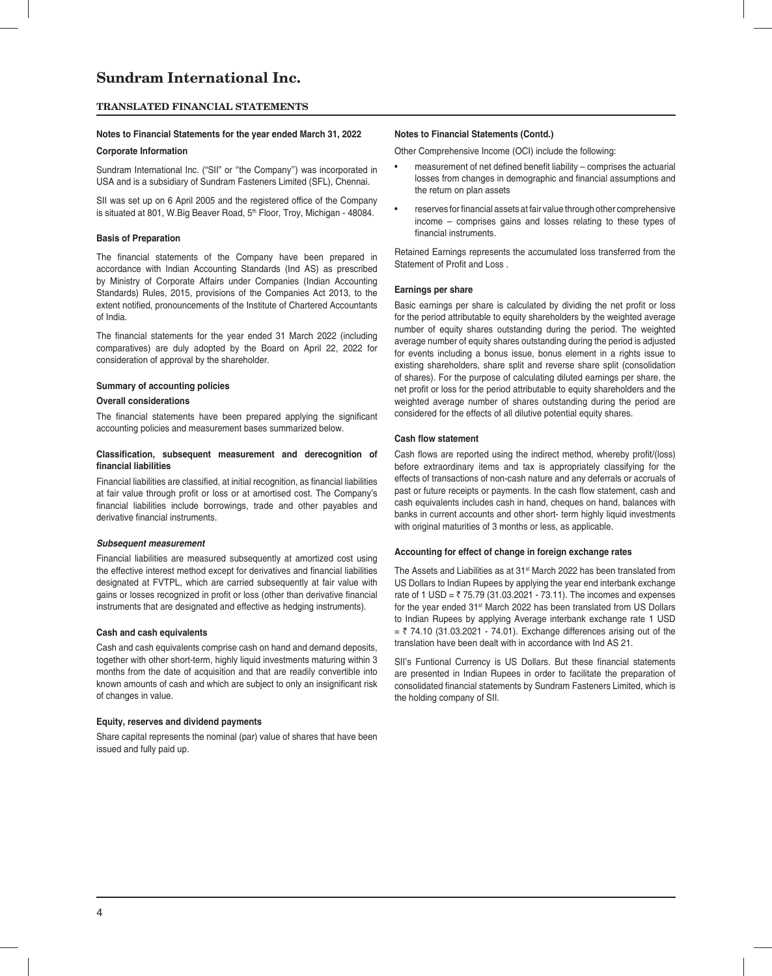#### **TRANSLATED FINANCIAL STATEMENTS**

### **Notes to Financial Statements for the year ended March 31, 2022 Notes to Financial Statements (Contd.)**

#### **Corporate Information**

Sundram International Inc. ("SII" or ''the Company'') was incorporated in USA and is a subsidiary of Sundram Fasteners Limited (SFL), Chennai.

SII was set up on 6 April 2005 and the registered office of the Company is situated at 801, W.Big Beaver Road, 5<sup>th</sup> Floor, Troy, Michigan - 48084.

#### **Basis of Preparation**

The financial statements of the Company have been prepared in accordance with Indian Accounting Standards (Ind AS) as prescribed by Ministry of Corporate Affairs under Companies (Indian Accounting Standards) Rules, 2015, provisions of the Companies Act 2013, to the extent notified, pronouncements of the Institute of Chartered Accountants of India.

The financial statements for the year ended 31 March 2022 (including comparatives) are duly adopted by the Board on April 22, 2022 for consideration of approval by the shareholder.

#### **Summary of accounting policies**

#### **Overall considerations**

The financial statements have been prepared applying the significant accounting policies and measurement bases summarized below.

#### **Classification, subsequent measurement and derecognition of fi nancial liabilities**

Financial liabilities are classified, at initial recognition, as financial liabilities at fair value through profit or loss or at amortised cost. The Company's financial liabilities include borrowings, trade and other payables and derivative financial instruments.

#### *Subsequent measurement*

Financial liabilities are measured subsequently at amortized cost using the effective interest method except for derivatives and financial liabilities designated at FVTPL, which are carried subsequently at fair value with gains or losses recognized in profit or loss (other than derivative financial instruments that are designated and effective as hedging instruments).

#### **Cash and cash equivalents**

Cash and cash equivalents comprise cash on hand and demand deposits, together with other short-term, highly liquid investments maturing within 3 months from the date of acquisition and that are readily convertible into known amounts of cash and which are subject to only an insignificant risk of changes in value.

#### **Equity, reserves and dividend payments**

Share capital represents the nominal (par) value of shares that have been issued and fully paid up.

Other Comprehensive Income (OCI) include the following:

- measurement of net defined benefit liability comprises the actuarial losses from changes in demographic and financial assumptions and the return on plan assets
- reserves for financial assets at fair value through other comprehensive income – comprises gains and losses relating to these types of financial instruments.

Retained Earnings represents the accumulated loss transferred from the Statement of Profit and Loss.

#### **Earnings per share**

Basic earnings per share is calculated by dividing the net profit or loss for the period attributable to equity shareholders by the weighted average number of equity shares outstanding during the period. The weighted average number of equity shares outstanding during the period is adjusted for events including a bonus issue, bonus element in a rights issue to existing shareholders, share split and reverse share split (consolidation of shares). For the purpose of calculating diluted earnings per share, the net profit or loss for the period attributable to equity shareholders and the weighted average number of shares outstanding during the period are considered for the effects of all dilutive potential equity shares.

#### **Cash flow statement**

Cash flows are reported using the indirect method, whereby profit/(loss) before extraordinary items and tax is appropriately classifying for the effects of transactions of non-cash nature and any deferrals or accruals of past or future receipts or payments. In the cash flow statement, cash and cash equivalents includes cash in hand, cheques on hand, balances with banks in current accounts and other short- term highly liquid investments with original maturities of 3 months or less, as applicable.

#### **Accounting for effect of change in foreign exchange rates**

The Assets and Liabilities as at 31<sup>st</sup> March 2022 has been translated from US Dollars to Indian Rupees by applying the year end interbank exchange rate of 1 USD =  $\bar{z}$  75.79 (31.03.2021 - 73.11). The incomes and expenses for the year ended 31<sup>st</sup> March 2022 has been translated from US Dollars to Indian Rupees by applying Average interbank exchange rate 1 USD  $=$  ₹ 74.10 (31.03.2021 - 74.01). Exchange differences arising out of the translation have been dealt with in accordance with Ind AS 21.

SII's Funtional Currency is US Dollars. But these financial statements are presented in Indian Rupees in order to facilitate the preparation of consolidated financial statements by Sundram Fasteners Limited, which is the holding company of SII.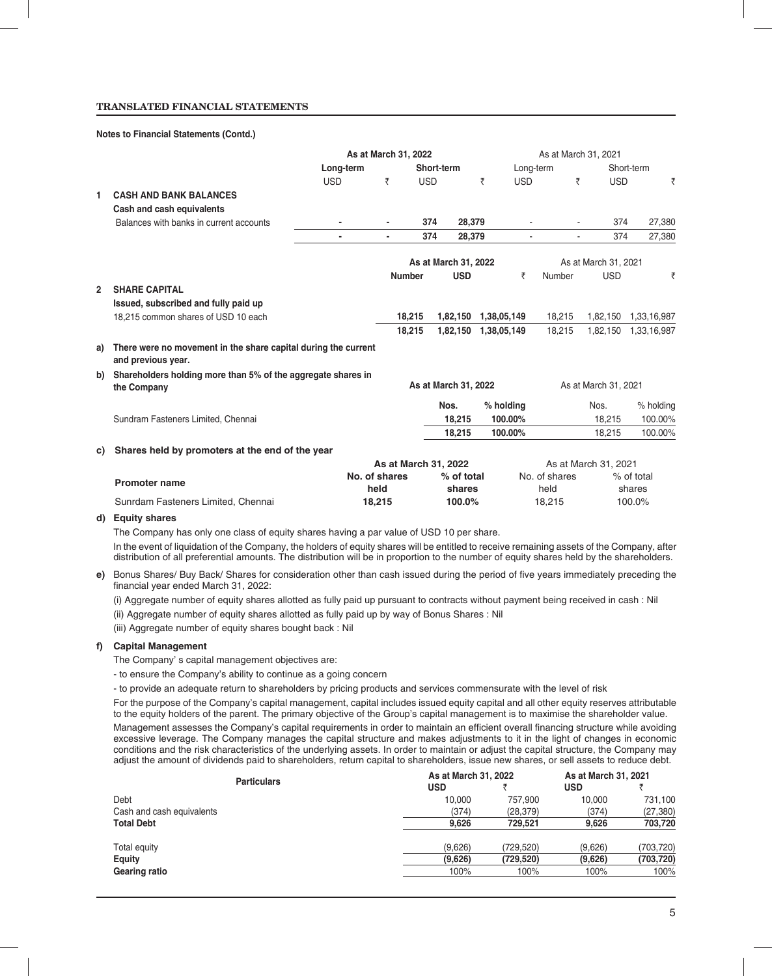#### **TRANSLATED FINANCIAL STATEMENTS**

#### **Notes to Financial Statements (Contd.)**

|              |                                                                                      |            |                |               |                      | As at March 31, 2021 |            |               |                      |             |
|--------------|--------------------------------------------------------------------------------------|------------|----------------|---------------|----------------------|----------------------|------------|---------------|----------------------|-------------|
|              |                                                                                      | Long-term  |                |               | Short-term           |                      | Long-term  |               |                      | Short-term  |
|              |                                                                                      | <b>USD</b> | ₹              | <b>USD</b>    |                      | ₹                    | <b>USD</b> | ₹             | <b>USD</b>           | ₹           |
| 1            | <b>CASH AND BANK BALANCES</b>                                                        |            |                |               |                      |                      |            |               |                      |             |
|              | Cash and cash equivalents                                                            |            |                |               |                      |                      |            |               |                      |             |
|              | Balances with banks in current accounts                                              |            | ٠              | 374           | 28,379               |                      |            |               | 374                  | 27,380      |
|              |                                                                                      |            | $\blacksquare$ | 374           | 28.379               |                      | $\sim$     |               | 374<br>÷.            | 27,380      |
|              |                                                                                      |            |                |               | As at March 31, 2022 |                      |            |               | As at March 31, 2021 |             |
|              |                                                                                      |            |                | <b>Number</b> | <b>USD</b>           |                      | ₹          | Number        | <b>USD</b>           | ₹           |
| $\mathbf{2}$ | <b>SHARE CAPITAL</b>                                                                 |            |                |               |                      |                      |            |               |                      |             |
|              | Issued, subscribed and fully paid up                                                 |            |                |               |                      |                      |            |               |                      |             |
|              | 18,215 common shares of USD 10 each                                                  |            |                | 18,215        | 1,82,150             | 1,38,05,149          |            | 18,215        | 1,82,150             | 1,33,16,987 |
|              |                                                                                      |            |                | 18.215        | 1,82,150             | 1,38,05,149          |            | 18.215        | 1,82,150             | 1,33,16,987 |
| a)           | There were no movement in the share capital during the current<br>and previous year. |            |                |               |                      |                      |            |               |                      |             |
| b)           | Shareholders holding more than 5% of the aggregate shares in                         |            |                |               |                      |                      |            |               |                      |             |
|              | the Company                                                                          |            |                |               | As at March 31, 2022 |                      |            |               | As at March 31, 2021 |             |
|              |                                                                                      |            |                |               | Nos.                 | % holding            |            |               | Nos.                 | % holding   |
|              | Sundram Fasteners Limited, Chennai                                                   |            |                |               | 18,215               | 100.00%              |            |               | 18,215               | 100.00%     |
|              |                                                                                      |            |                |               | 18,215               | 100.00%              |            |               | 18,215               | 100.00%     |
| C)           | Shares held by promoters at the end of the year                                      |            |                |               |                      |                      |            |               |                      |             |
|              |                                                                                      |            |                |               | As at March 31, 2022 |                      |            |               | As at March 31, 2021 |             |
|              | <b>Promoter name</b>                                                                 |            | No. of shares  |               | % of total           |                      |            | No. of shares |                      | % of total  |
|              |                                                                                      |            | held           |               | shares               |                      |            | held          |                      | shares      |
|              | Sunrdam Fasteners Limited, Chennai                                                   |            | 18,215         |               | 100.0%               |                      |            | 18,215        |                      | 100.0%      |

#### **d) Equity shares**

The Company has only one class of equity shares having a par value of USD 10 per share.

 In the event of liquidation of the Company, the holders of equity shares will be entitled to receive remaining assets of the Company, after distribution of all preferential amounts. The distribution will be in proportion to the number of equity shares held by the shareholders.

e) Bonus Shares/ Buy Back/ Shares for consideration other than cash issued during the period of five years immediately preceding the financial year ended March 31, 2022:

(i) Aggregate number of equity shares allotted as fully paid up pursuant to contracts without payment being received in cash : Nil

(ii) Aggregate number of equity shares allotted as fully paid up by way of Bonus Shares : Nil

(iii) Aggregate number of equity shares bought back : Nil

# **f) Capital Management**

The Company' s capital management objectives are:

- to ensure the Company's ability to continue as a going concern
- to provide an adequate return to shareholders by pricing products and services commensurate with the level of risk

 For the purpose of the Company's capital management, capital includes issued equity capital and all other equity reserves attributable to the equity holders of the parent. The primary objective of the Group's capital management is to maximise the shareholder value.

Management assesses the Company's capital requirements in order to maintain an efficient overall financing structure while avoiding excessive leverage. The Company manages the capital structure and makes adjustments to it in the light of changes in economic conditions and the risk characteristics of the underlying assets. In order to maintain or adjust the capital structure, the Company may adjust the amount of dividends paid to shareholders, return capital to shareholders, issue new shares, or sell assets to reduce debt.

| <b>Particulars</b>        | As at March 31, 2022 |           |            | As at March 31, 2021 |
|---------------------------|----------------------|-----------|------------|----------------------|
|                           | <b>USD</b>           |           | <b>USD</b> |                      |
| Debt                      | 10.000               | 757.900   | 10,000     | 731,100              |
| Cash and cash equivalents | (374)                | (28, 379) | (374)      | (27, 380)            |
| <b>Total Debt</b>         | 9.626                | 729.521   | 9.626      | 703,720              |
| Total equity              | (9.626)              | (729.520) | (9.626)    | (703, 720)           |
| Equity                    | (9,626)              | (729,520) | (9,626)    | (703, 720)           |
| Gearing ratio             | 100%                 | 100%      | 100%       | 100%                 |